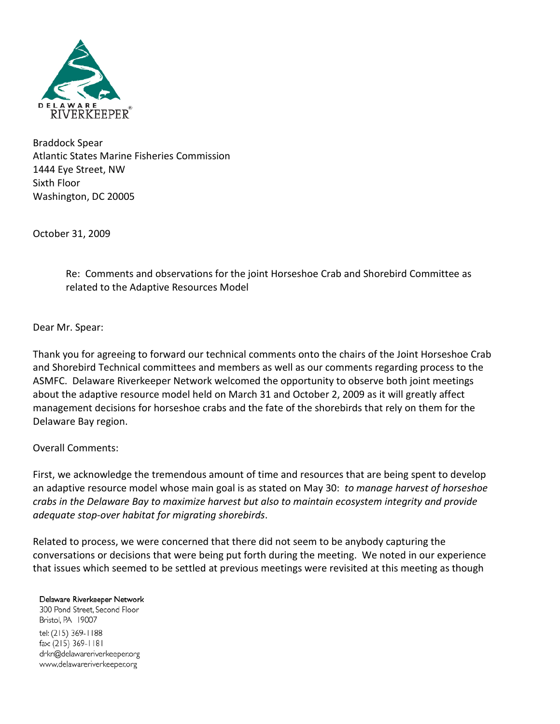

Braddock Spear Atlantic States Marine Fisheries Commission 1444 Eye Street, NW Sixth Floor Washington, DC 20005

October 31, 2009

Re: Comments and observations for the joint Horseshoe Crab and Shorebird Committee as related to the Adaptive Resources Model

Dear Mr. Spear:

Thank you for agreeing to forward our technical comments onto the chairs of the Joint Horseshoe Crab and Shorebird Technical committees and members as well as our comments regarding process to the ASMFC. Delaware Riverkeeper Network welcomed the opportunity to observe both joint meetings about the adaptive resource model held on March 31 and October 2, 2009 as it will greatly affect management decisions for horseshoe crabs and the fate of the shorebirds that rely on them for the Delaware Bay region.

Overall Comments:

First, we acknowledge the tremendous amount of time and resources that are being spent to develop an adaptive resource model whose main goal is as stated on May 30: *to manage harvest of horseshoe crabs in the Delaware Bay to maximize harvest but also to maintain ecosystem integrity and provide adequate stop-over habitat for migrating shorebirds*.

Related to process, we were concerned that there did not seem to be anybody capturing the conversations or decisions that were being put forth during the meeting. We noted in our experience that issues which seemed to be settled at previous meetings were revisited at this meeting as though

Delaware Riverkeeper Network

300 Pond Street, Second Floor Bristol, PA 19007 tel: (215) 369-1188 fax: (215) 369-1181 drkn@delawareriverkeeper.org www.delawareriverkeeper.org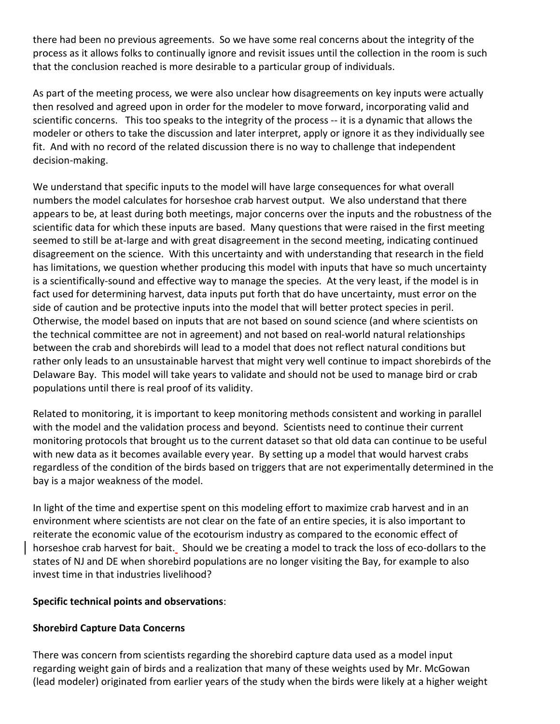there had been no previous agreements. So we have some real concerns about the integrity of the process as it allows folks to continually ignore and revisit issues until the collection in the room is such that the conclusion reached is more desirable to a particular group of individuals.

As part of the meeting process, we were also unclear how disagreements on key inputs were actually then resolved and agreed upon in order for the modeler to move forward, incorporating valid and scientific concerns. This too speaks to the integrity of the process -- it is a dynamic that allows the modeler or others to take the discussion and later interpret, apply or ignore it as they individually see fit. And with no record of the related discussion there is no way to challenge that independent decision-making.

We understand that specific inputs to the model will have large consequences for what overall numbers the model calculates for horseshoe crab harvest output. We also understand that there appears to be, at least during both meetings, major concerns over the inputs and the robustness of the scientific data for which these inputs are based. Many questions that were raised in the first meeting seemed to still be at-large and with great disagreement in the second meeting, indicating continued disagreement on the science. With this uncertainty and with understanding that research in the field has limitations, we question whether producing this model with inputs that have so much uncertainty is a scientifically-sound and effective way to manage the species. At the very least, if the model is in fact used for determining harvest, data inputs put forth that do have uncertainty, must error on the side of caution and be protective inputs into the model that will better protect species in peril. Otherwise, the model based on inputs that are not based on sound science (and where scientists on the technical committee are not in agreement) and not based on real-world natural relationships between the crab and shorebirds will lead to a model that does not reflect natural conditions but rather only leads to an unsustainable harvest that might very well continue to impact shorebirds of the Delaware Bay. This model will take years to validate and should not be used to manage bird or crab populations until there is real proof of its validity.

Related to monitoring, it is important to keep monitoring methods consistent and working in parallel with the model and the validation process and beyond. Scientists need to continue their current monitoring protocols that brought us to the current dataset so that old data can continue to be useful with new data as it becomes available every year. By setting up a model that would harvest crabs regardless of the condition of the birds based on triggers that are not experimentally determined in the bay is a major weakness of the model.

In light of the time and expertise spent on this modeling effort to maximize crab harvest and in an environment where scientists are not clear on the fate of an entire species, it is also important to reiterate the economic value of the ecotourism industry as compared to the economic effect of horseshoe crab harvest for bait. Should we be creating a model to track the loss of eco-dollars to the states of NJ and DE when shorebird populations are no longer visiting the Bay, for example to also invest time in that industries livelihood?

# **Specific technical points and observations**:

# **Shorebird Capture Data Concerns**

There was concern from scientists regarding the shorebird capture data used as a model input regarding weight gain of birds and a realization that many of these weights used by Mr. McGowan (lead modeler) originated from earlier years of the study when the birds were likely at a higher weight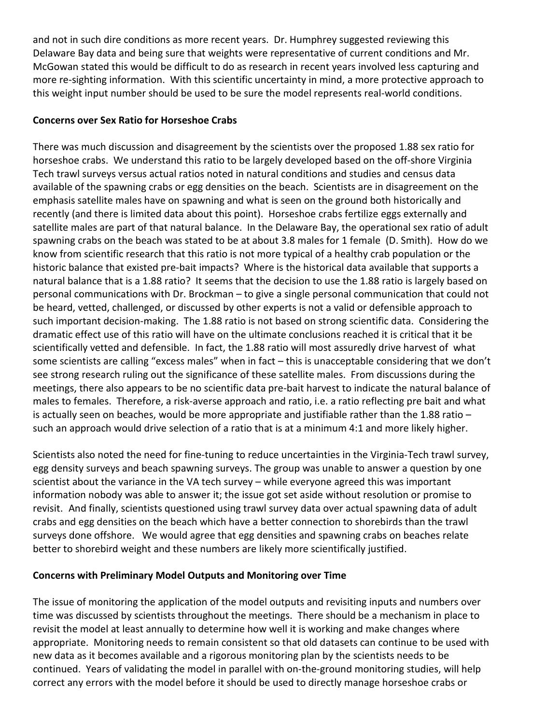and not in such dire conditions as more recent years. Dr. Humphrey suggested reviewing this Delaware Bay data and being sure that weights were representative of current conditions and Mr. McGowan stated this would be difficult to do as research in recent years involved less capturing and more re-sighting information. With this scientific uncertainty in mind, a more protective approach to this weight input number should be used to be sure the model represents real-world conditions.

# **Concerns over Sex Ratio for Horseshoe Crabs**

There was much discussion and disagreement by the scientists over the proposed 1.88 sex ratio for horseshoe crabs. We understand this ratio to be largely developed based on the off-shore Virginia Tech trawl surveys versus actual ratios noted in natural conditions and studies and census data available of the spawning crabs or egg densities on the beach. Scientists are in disagreement on the emphasis satellite males have on spawning and what is seen on the ground both historically and recently (and there is limited data about this point). Horseshoe crabs fertilize eggs externally and satellite males are part of that natural balance. In the Delaware Bay, the operational sex ratio of adult spawning crabs on the beach was stated to be at about 3.8 males for 1 female (D. Smith). How do we know from scientific research that this ratio is not more typical of a healthy crab population or the historic balance that existed pre-bait impacts? Where is the historical data available that supports a natural balance that is a 1.88 ratio? It seems that the decision to use the 1.88 ratio is largely based on personal communications with Dr. Brockman – to give a single personal communication that could not be heard, vetted, challenged, or discussed by other experts is not a valid or defensible approach to such important decision-making. The 1.88 ratio is not based on strong scientific data. Considering the dramatic effect use of this ratio will have on the ultimate conclusions reached it is critical that it be scientifically vetted and defensible. In fact, the 1.88 ratio will most assuredly drive harvest of what some scientists are calling "excess males" when in fact – this is unacceptable considering that we don't see strong research ruling out the significance of these satellite males. From discussions during the meetings, there also appears to be no scientific data pre-bait harvest to indicate the natural balance of males to females. Therefore, a risk-averse approach and ratio, i.e. a ratio reflecting pre bait and what is actually seen on beaches, would be more appropriate and justifiable rather than the 1.88 ratio – such an approach would drive selection of a ratio that is at a minimum 4:1 and more likely higher.

Scientists also noted the need for fine-tuning to reduce uncertainties in the Virginia-Tech trawl survey, egg density surveys and beach spawning surveys. The group was unable to answer a question by one scientist about the variance in the VA tech survey – while everyone agreed this was important information nobody was able to answer it; the issue got set aside without resolution or promise to revisit. And finally, scientists questioned using trawl survey data over actual spawning data of adult crabs and egg densities on the beach which have a better connection to shorebirds than the trawl surveys done offshore. We would agree that egg densities and spawning crabs on beaches relate better to shorebird weight and these numbers are likely more scientifically justified.

# **Concerns with Preliminary Model Outputs and Monitoring over Time**

The issue of monitoring the application of the model outputs and revisiting inputs and numbers over time was discussed by scientists throughout the meetings. There should be a mechanism in place to revisit the model at least annually to determine how well it is working and make changes where appropriate. Monitoring needs to remain consistent so that old datasets can continue to be used with new data as it becomes available and a rigorous monitoring plan by the scientists needs to be continued. Years of validating the model in parallel with on-the-ground monitoring studies, will help correct any errors with the model before it should be used to directly manage horseshoe crabs or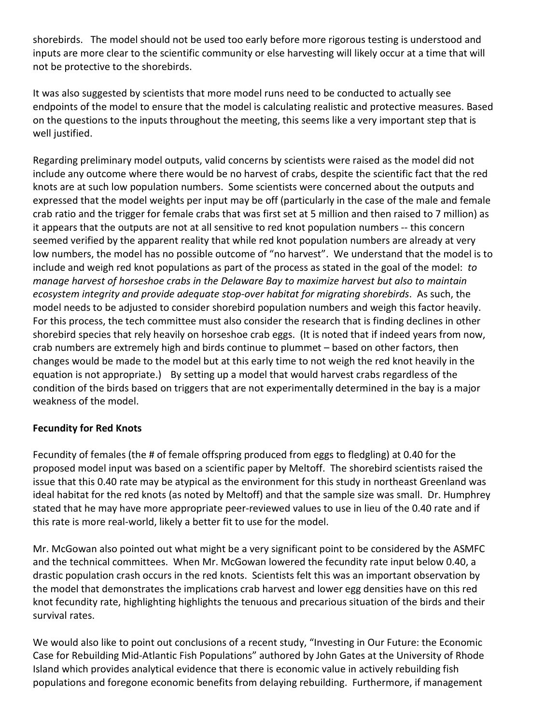shorebirds. The model should not be used too early before more rigorous testing is understood and inputs are more clear to the scientific community or else harvesting will likely occur at a time that will not be protective to the shorebirds.

It was also suggested by scientists that more model runs need to be conducted to actually see endpoints of the model to ensure that the model is calculating realistic and protective measures. Based on the questions to the inputs throughout the meeting, this seems like a very important step that is well justified.

Regarding preliminary model outputs, valid concerns by scientists were raised as the model did not include any outcome where there would be no harvest of crabs, despite the scientific fact that the red knots are at such low population numbers. Some scientists were concerned about the outputs and expressed that the model weights per input may be off (particularly in the case of the male and female crab ratio and the trigger for female crabs that was first set at 5 million and then raised to 7 million) as it appears that the outputs are not at all sensitive to red knot population numbers -- this concern seemed verified by the apparent reality that while red knot population numbers are already at very low numbers, the model has no possible outcome of "no harvest". We understand that the model is to include and weigh red knot populations as part of the process as stated in the goal of the model: *to manage harvest of horseshoe crabs in the Delaware Bay to maximize harvest but also to maintain ecosystem integrity and provide adequate stop-over habitat for migrating shorebirds*. As such, the model needs to be adjusted to consider shorebird population numbers and weigh this factor heavily. For this process, the tech committee must also consider the research that is finding declines in other shorebird species that rely heavily on horseshoe crab eggs. (It is noted that if indeed years from now, crab numbers are extremely high and birds continue to plummet – based on other factors, then changes would be made to the model but at this early time to not weigh the red knot heavily in the equation is not appropriate.) By setting up a model that would harvest crabs regardless of the condition of the birds based on triggers that are not experimentally determined in the bay is a major weakness of the model.

# **Fecundity for Red Knots**

Fecundity of females (the # of female offspring produced from eggs to fledgling) at 0.40 for the proposed model input was based on a scientific paper by Meltoff. The shorebird scientists raised the issue that this 0.40 rate may be atypical as the environment for this study in northeast Greenland was ideal habitat for the red knots (as noted by Meltoff) and that the sample size was small. Dr. Humphrey stated that he may have more appropriate peer-reviewed values to use in lieu of the 0.40 rate and if this rate is more real-world, likely a better fit to use for the model.

Mr. McGowan also pointed out what might be a very significant point to be considered by the ASMFC and the technical committees. When Mr. McGowan lowered the fecundity rate input below 0.40, a drastic population crash occurs in the red knots. Scientists felt this was an important observation by the model that demonstrates the implications crab harvest and lower egg densities have on this red knot fecundity rate, highlighting highlights the tenuous and precarious situation of the birds and their survival rates.

We would also like to point out conclusions of a recent study, "Investing in Our Future: the Economic Case for Rebuilding Mid-Atlantic Fish Populations" authored by John Gates at the University of Rhode Island which provides analytical evidence that there is economic value in actively rebuilding fish populations and foregone economic benefits from delaying rebuilding. Furthermore, if management